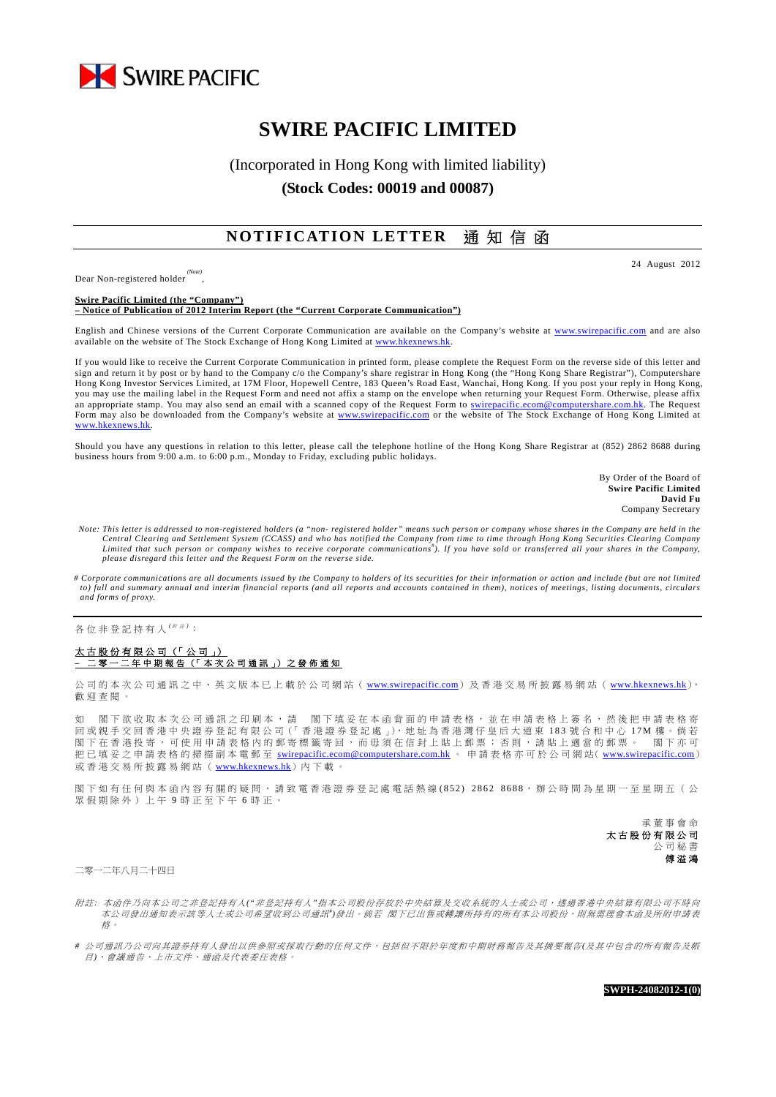

# **SWIRE PACIFIC LIMITED**

## (Incorporated in Hong Kong with limited liability) **(Stock Codes: 00019 and 00087)**

### **NOTIFICATION LETTER** 通 知 信 函

Dear Non-registered holder

,

24 August 2012

**Swire Pacific Limited (the "Company") – Notice of Publication of 2012 Interim Report (the "Current Corporate Communication")** 

English and Chinese versions of the Current Corporate Communication are available on the Company's website at www.swirepacific.com and are also available on the website of The Stock Exchange of Hong Kong Limited at www.hkexnews.hk

If you would like to receive the Current Corporate Communication in printed form, please complete the Request Form on the reverse side of this letter and sign and return it by post or by hand to the Company c/o the Company's share registrar in Hong Kong (the "Hong Kong Share Registrar"), Computershare Hong Kong Investor Services Limited, at 17M Floor, Hopewell Centre, 183 Queen's Road East, Wanchai, Hong Kong. If you post your reply in Hong Kong, you may use the mailing label in the Request Form and need not affix a stamp on the envelope when returning your Request Form. Otherwise, please affix an appropriate stamp. You may also send an email with a scanned copy of the Request Form to swirepacific.ecom@computershare.com.hk. The Request Form may also be downloaded from the Company's website at www.swirepacific.com or the website of The Stock Exchange of Hong Kong Limited at www.hkexnews.hk.

Should you have any questions in relation to this letter, please call the telephone hotline of the Hong Kong Share Registrar at (852) 2862 8688 during business hours from 9:00 a.m. to 6:00 p.m., Monday to Friday, excluding public holidays.

> By Order of the Board of **Swire Pacific Limited David Fu** Company Secretary

- *Note: This letter is addressed to non-registered holders (a "non- registered holder" means such person or company whose shares in the Company are held in the*  Central Clearing and Settlement System (CCASS) and who has notified the Company from time to time through Hong Kong Securities Clearing Company<br>Limited that such person or company wishes to receive corporate communications *please disregard this letter and the Request Form on the reverse side.*
- *# Corporate communications are all documents issued by the Company to holders of its securities for their information or action and include (but are not limited to) full and summary annual and interim financial reports (and all reports and accounts contained in them), notices of meetings, listing documents, circulars and forms of proxy.*

各位非登記持有人<sup>( # #)</sup>:

#### 太古股份有限公司(「公司」) **–** 二零一二年中期報告(「本次公司通訊」)之發佈通知

公司的本次公司通訊之中、英文版本已上載於公司網站 ( www.swirepacific.com) 及香港交易所披露易網站 ( www.hkexnews.hk), 歡迎查閱。

如 閣下欲收取本次公司通訊之印刷本,請 閣下填妥在本函背面的申請表格,並在申請表格上簽名,然後把申請表格寄 回 或 親 手 交 回 香 港 中 央 證 券 登 記 有 限 公 司(「香港證券登記處」),地址為香港灣仔皇后大道東 183 號合和中心 17M 樓。倘若 閣下在香港投寄,可使用申請表格內的郵寄標籤寄回,而毋須在信封上貼上郵票;否則,請貼上適當的郵票。 閣下亦可 把已填妥之申請表格的掃描副本電郵至 swirepacific.ecom@computershare.com.hk 。 申請表格亦可於公司網站( www.swirepacific.com) 或香港交易所披露易網站(www.hkexnews.hk)內下載。

閣下如有任何與本函內容有關的疑問,請致電香港證券登記處電話熱線 (852) 2862 8688,辦公時間為星期一至星期五(公 眾假期除外)上午 9 時正至下午 6 時正。

> 承董事會命 太古股份有限公司 公司秘書 傅溢鴻

二零一二年八月二十四日

- 附註: 本函件乃向本公司之非登記持有人("非登記持有人"指本公司股份存放於中央結算及交收系統的人士或公司,透過香港中央結算有限公司不時向 本公司發出通知表示該等人士或公司希望收到公司通訊")發出。倘若 閣下已出售或轉讓所持有的所有本公司股份,則無需理會本函及所附申請表 格 。
- *#* 公司通訊乃公司向其證券持有人發出以供參照或採取行動的任何文件,包括但不限於年度和中期財務報告及其摘要報告*(*及其中包含的所有報告及帳 目*)*、會議通告、上市文件、通函及代表委任表格。

**SWPH-24082012-1(0)**